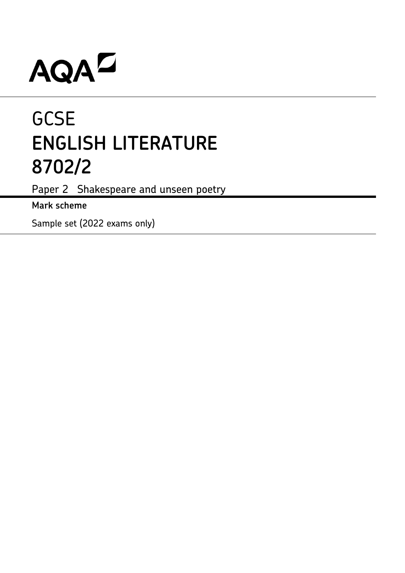# AQAD

## **GCSE ENGLISH LITERATURE 8702/2**

Paper 2 Shakespeare and unseen poetry

**Mark scheme**

Sample set (2022 exams only)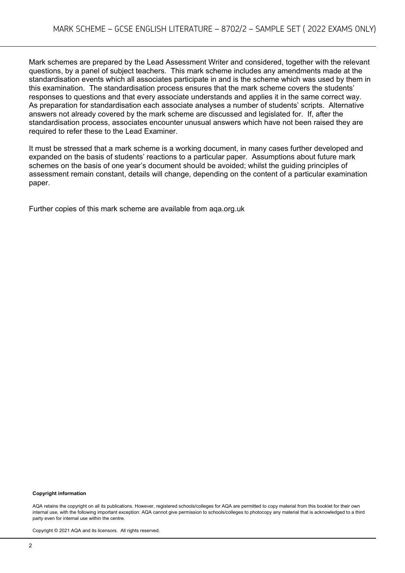Mark schemes are prepared by the Lead Assessment Writer and considered, together with the relevant questions, by a panel of subject teachers. This mark scheme includes any amendments made at the standardisation events which all associates participate in and is the scheme which was used by them in this examination. The standardisation process ensures that the mark scheme covers the students' responses to questions and that every associate understands and applies it in the same correct way. As preparation for standardisation each associate analyses a number of students' scripts. Alternative answers not already covered by the mark scheme are discussed and legislated for. If, after the standardisation process, associates encounter unusual answers which have not been raised they are required to refer these to the Lead Examiner.

It must be stressed that a mark scheme is a working document, in many cases further developed and expanded on the basis of students' reactions to a particular paper. Assumptions about future mark schemes on the basis of one year's document should be avoided; whilst the guiding principles of assessment remain constant, details will change, depending on the content of a particular examination paper.

Further copies of this mark scheme are available from aqa.org.uk

#### **Copyright information**

AQA retains the copyright on all its publications. However, registered schools/colleges for AQA are permitted to copy material from this booklet for their own internal use, with the following important exception: AQA cannot give permission to schools/colleges to photocopy any material that is acknowledged to a third party even for internal use within the centre.

Copyright © 2021 AQA and its licensors. All rights reserved.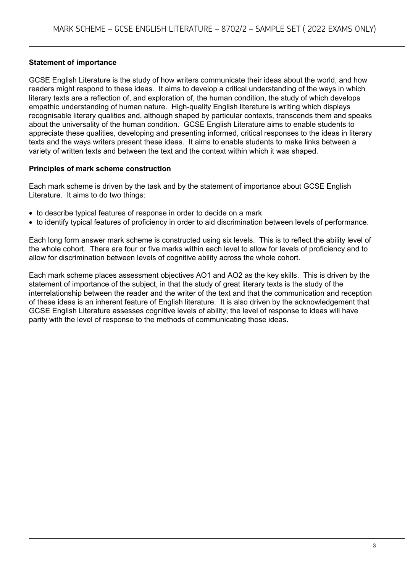#### **Statement of importance**

GCSE English Literature is the study of how writers communicate their ideas about the world, and how readers might respond to these ideas. It aims to develop a critical understanding of the ways in which literary texts are a reflection of, and exploration of, the human condition, the study of which develops empathic understanding of human nature. High-quality English literature is writing which displays recognisable literary qualities and, although shaped by particular contexts, transcends them and speaks about the universality of the human condition. GCSE English Literature aims to enable students to appreciate these qualities, developing and presenting informed, critical responses to the ideas in literary texts and the ways writers present these ideas. It aims to enable students to make links between a variety of written texts and between the text and the context within which it was shaped.

#### **Principles of mark scheme construction**

Each mark scheme is driven by the task and by the statement of importance about GCSE English Literature. It aims to do two things:

- to describe typical features of response in order to decide on a mark
- to identify typical features of proficiency in order to aid discrimination between levels of performance.

Each long form answer mark scheme is constructed using six levels. This is to reflect the ability level of the whole cohort. There are four or five marks within each level to allow for levels of proficiency and to allow for discrimination between levels of cognitive ability across the whole cohort.

Each mark scheme places assessment objectives AO1 and AO2 as the key skills. This is driven by the statement of importance of the subject, in that the study of great literary texts is the study of the interrelationship between the reader and the writer of the text and that the communication and reception of these ideas is an inherent feature of English literature. It is also driven by the acknowledgement that GCSE English Literature assesses cognitive levels of ability; the level of response to ideas will have parity with the level of response to the methods of communicating those ideas.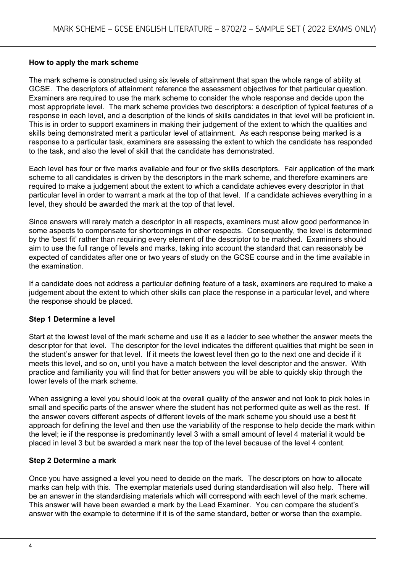#### **How to apply the mark scheme**

The mark scheme is constructed using six levels of attainment that span the whole range of ability at GCSE. The descriptors of attainment reference the assessment objectives for that particular question. Examiners are required to use the mark scheme to consider the whole response and decide upon the most appropriate level. The mark scheme provides two descriptors: a description of typical features of a response in each level, and a description of the kinds of skills candidates in that level will be proficient in. This is in order to support examiners in making their judgement of the extent to which the qualities and skills being demonstrated merit a particular level of attainment. As each response being marked is a response to a particular task, examiners are assessing the extent to which the candidate has responded to the task, and also the level of skill that the candidate has demonstrated.

Each level has four or five marks available and four or five skills descriptors. Fair application of the mark scheme to all candidates is driven by the descriptors in the mark scheme, and therefore examiners are required to make a judgement about the extent to which a candidate achieves every descriptor in that particular level in order to warrant a mark at the top of that level. If a candidate achieves everything in a level, they should be awarded the mark at the top of that level.

Since answers will rarely match a descriptor in all respects, examiners must allow good performance in some aspects to compensate for shortcomings in other respects. Consequently, the level is determined by the 'best fit' rather than requiring every element of the descriptor to be matched. Examiners should aim to use the full range of levels and marks, taking into account the standard that can reasonably be expected of candidates after one or two years of study on the GCSE course and in the time available in the examination.

If a candidate does not address a particular defining feature of a task, examiners are required to make a judgement about the extent to which other skills can place the response in a particular level, and where the response should be placed.

#### **Step 1 Determine a level**

Start at the lowest level of the mark scheme and use it as a ladder to see whether the answer meets the descriptor for that level. The descriptor for the level indicates the different qualities that might be seen in the student's answer for that level. If it meets the lowest level then go to the next one and decide if it meets this level, and so on, until you have a match between the level descriptor and the answer. With practice and familiarity you will find that for better answers you will be able to quickly skip through the lower levels of the mark scheme.

When assigning a level you should look at the overall quality of the answer and not look to pick holes in small and specific parts of the answer where the student has not performed quite as well as the rest. If the answer covers different aspects of different levels of the mark scheme you should use a best fit approach for defining the level and then use the variability of the response to help decide the mark within the level; ie if the response is predominantly level 3 with a small amount of level 4 material it would be placed in level 3 but be awarded a mark near the top of the level because of the level 4 content.

#### **Step 2 Determine a mark**

Once you have assigned a level you need to decide on the mark. The descriptors on how to allocate marks can help with this. The exemplar materials used during standardisation will also help. There will be an answer in the standardising materials which will correspond with each level of the mark scheme. This answer will have been awarded a mark by the Lead Examiner. You can compare the student's answer with the example to determine if it is of the same standard, better or worse than the example.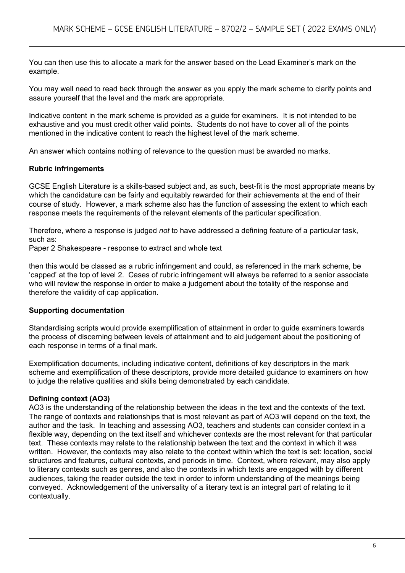You can then use this to allocate a mark for the answer based on the Lead Examiner's mark on the example.

You may well need to read back through the answer as you apply the mark scheme to clarify points and assure yourself that the level and the mark are appropriate.

Indicative content in the mark scheme is provided as a guide for examiners. It is not intended to be exhaustive and you must credit other valid points. Students do not have to cover all of the points mentioned in the indicative content to reach the highest level of the mark scheme.

An answer which contains nothing of relevance to the question must be awarded no marks.

#### **Rubric infringements**

GCSE English Literature is a skills-based subject and, as such, best-fit is the most appropriate means by which the candidature can be fairly and equitably rewarded for their achievements at the end of their course of study. However, a mark scheme also has the function of assessing the extent to which each response meets the requirements of the relevant elements of the particular specification.

Therefore, where a response is judged *not* to have addressed a defining feature of a particular task, such as:

Paper 2 Shakespeare - response to extract and whole text

then this would be classed as a rubric infringement and could, as referenced in the mark scheme, be 'capped' at the top of level 2. Cases of rubric infringement will always be referred to a senior associate who will review the response in order to make a judgement about the totality of the response and therefore the validity of cap application.

#### **Supporting documentation**

Standardising scripts would provide exemplification of attainment in order to guide examiners towards the process of discerning between levels of attainment and to aid judgement about the positioning of each response in terms of a final mark.

Exemplification documents, including indicative content, definitions of key descriptors in the mark scheme and exemplification of these descriptors, provide more detailed guidance to examiners on how to judge the relative qualities and skills being demonstrated by each candidate.

#### **Defining context (AO3)**

AO3 is the understanding of the relationship between the ideas in the text and the contexts of the text. The range of contexts and relationships that is most relevant as part of AO3 will depend on the text, the author and the task. In teaching and assessing AO3, teachers and students can consider context in a flexible way, depending on the text itself and whichever contexts are the most relevant for that particular text. These contexts may relate to the relationship between the text and the context in which it was written. However, the contexts may also relate to the context within which the text is set: location, social structures and features, cultural contexts, and periods in time. Context, where relevant, may also apply to literary contexts such as genres, and also the contexts in which texts are engaged with by different audiences, taking the reader outside the text in order to inform understanding of the meanings being conveyed. Acknowledgement of the universality of a literary text is an integral part of relating to it contextually.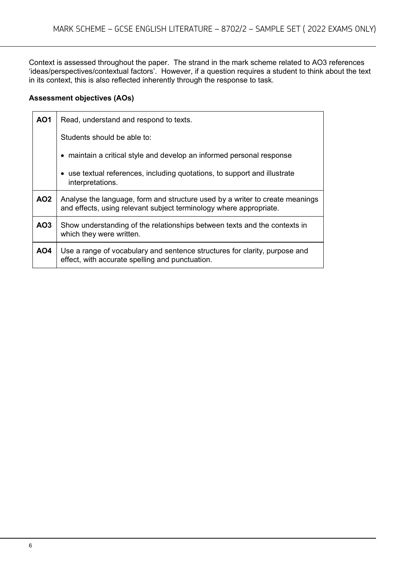Context is assessed throughout the paper. The strand in the mark scheme related to AO3 references 'ideas/perspectives/contextual factors'. However, if a question requires a student to think about the text in its context, this is also reflected inherently through the response to task.

#### **Assessment objectives (AOs)**

| <b>AO1</b>      | Read, understand and respond to texts.                                                                                                             |  |  |
|-----------------|----------------------------------------------------------------------------------------------------------------------------------------------------|--|--|
|                 | Students should be able to:                                                                                                                        |  |  |
|                 | • maintain a critical style and develop an informed personal response                                                                              |  |  |
|                 | • use textual references, including quotations, to support and illustrate<br>interpretations.                                                      |  |  |
| AO <sub>2</sub> | Analyse the language, form and structure used by a writer to create meanings<br>and effects, using relevant subject terminology where appropriate. |  |  |
| AO <sub>3</sub> | Show understanding of the relationships between texts and the contexts in<br>which they were written.                                              |  |  |
| <b>AO4</b>      | Use a range of vocabulary and sentence structures for clarity, purpose and<br>effect, with accurate spelling and punctuation.                      |  |  |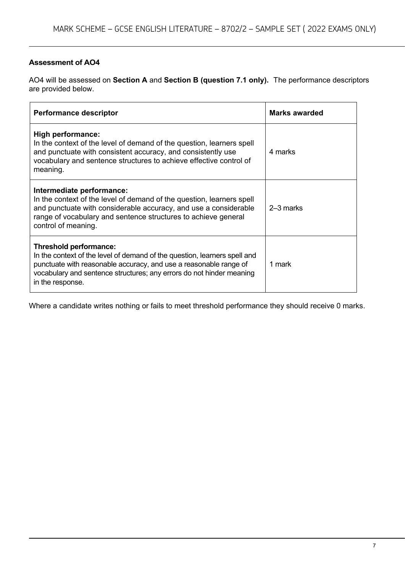#### **Assessment of AO4**

AO4 will be assessed on **Section A** and **Section B (question 7.1 only).** The performance descriptors are provided below.

| <b>Performance descriptor</b>                                                                                                                                                                                                                                        | Marks awarded |  |
|----------------------------------------------------------------------------------------------------------------------------------------------------------------------------------------------------------------------------------------------------------------------|---------------|--|
| High performance:<br>In the context of the level of demand of the question, learners spell<br>and punctuate with consistent accuracy, and consistently use<br>vocabulary and sentence structures to achieve effective control of<br>meaning.                         | 4 marks       |  |
| Intermediate performance:<br>In the context of the level of demand of the question, learners spell<br>and punctuate with considerable accuracy, and use a considerable<br>range of vocabulary and sentence structures to achieve general<br>control of meaning.      | 2-3 marks     |  |
| Threshold performance:<br>In the context of the level of demand of the question, learners spell and<br>punctuate with reasonable accuracy, and use a reasonable range of<br>vocabulary and sentence structures; any errors do not hinder meaning<br>in the response. | 1 mark        |  |

Where a candidate writes nothing or fails to meet threshold performance they should receive 0 marks.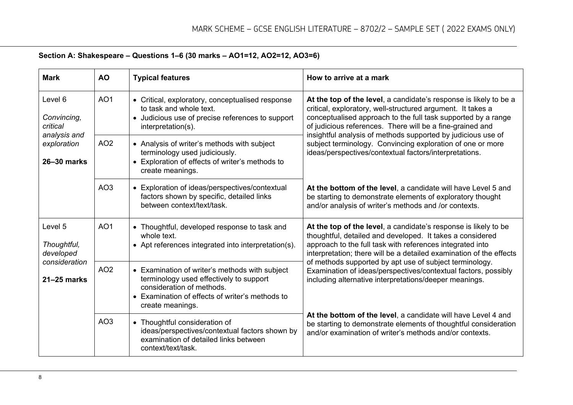| Section A: Shakespeare - Questions 1-6 (30 marks - AO1=12, AO2=12, AO3=6) |  |
|---------------------------------------------------------------------------|--|
|---------------------------------------------------------------------------|--|

| <b>Mark</b>                                                                      | <b>AO</b>       | <b>Typical features</b>                                                                                                                                                                       | How to arrive at a mark                                                                                                                                                                                                                                          |
|----------------------------------------------------------------------------------|-----------------|-----------------------------------------------------------------------------------------------------------------------------------------------------------------------------------------------|------------------------------------------------------------------------------------------------------------------------------------------------------------------------------------------------------------------------------------------------------------------|
| Level 6<br>Convincing,<br>critical<br>analysis and<br>exploration<br>26-30 marks | AO <sub>1</sub> | • Critical, exploratory, conceptualised response<br>to task and whole text.<br>• Judicious use of precise references to support<br>interpretation(s).                                         | At the top of the level, a candidate's response is likely to be a<br>critical, exploratory, well-structured argument. It takes a<br>conceptualised approach to the full task supported by a range<br>of judicious references. There will be a fine-grained and   |
|                                                                                  | AO <sub>2</sub> | • Analysis of writer's methods with subject<br>terminology used judiciously.<br>• Exploration of effects of writer's methods to<br>create meanings.                                           | insightful analysis of methods supported by judicious use of<br>subject terminology. Convincing exploration of one or more<br>ideas/perspectives/contextual factors/interpretations.                                                                             |
|                                                                                  | AO <sub>3</sub> | • Exploration of ideas/perspectives/contextual<br>factors shown by specific, detailed links<br>between context/text/task.                                                                     | At the bottom of the level, a candidate will have Level 5 and<br>be starting to demonstrate elements of exploratory thought<br>and/or analysis of writer's methods and /or contexts.                                                                             |
| Level 5<br>Thoughtful,<br>developed<br>consideration<br>21-25 marks              | AO <sub>1</sub> | • Thoughtful, developed response to task and<br>whole text.<br>• Apt references integrated into interpretation(s).                                                                            | At the top of the level, a candidate's response is likely to be<br>thoughtful, detailed and developed. It takes a considered<br>approach to the full task with references integrated into<br>interpretation; there will be a detailed examination of the effects |
|                                                                                  | AO <sub>2</sub> | • Examination of writer's methods with subject<br>terminology used effectively to support<br>consideration of methods.<br>• Examination of effects of writer's methods to<br>create meanings. | of methods supported by apt use of subject terminology.<br>Examination of ideas/perspectives/contextual factors, possibly<br>including alternative interpretations/deeper meanings.                                                                              |
|                                                                                  | AO <sub>3</sub> | • Thoughtful consideration of<br>ideas/perspectives/contextual factors shown by<br>examination of detailed links between<br>context/text/task.                                                | At the bottom of the level, a candidate will have Level 4 and<br>be starting to demonstrate elements of thoughtful consideration<br>and/or examination of writer's methods and/or contexts.                                                                      |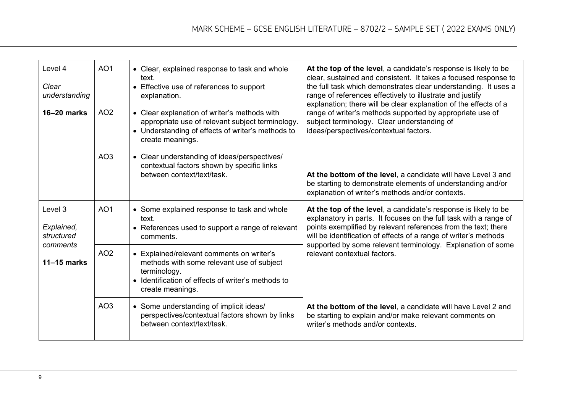| Level 4<br>Clear<br>understanding                                | AO <sub>1</sub> | • Clear, explained response to task and whole<br>text.<br>• Effective use of references to support<br>explanation.                                                               | At the top of the level, a candidate's response is likely to be<br>clear, sustained and consistent. It takes a focused response to<br>the full task which demonstrates clear understanding. It uses a<br>range of references effectively to illustrate and justify                                                                        |
|------------------------------------------------------------------|-----------------|----------------------------------------------------------------------------------------------------------------------------------------------------------------------------------|-------------------------------------------------------------------------------------------------------------------------------------------------------------------------------------------------------------------------------------------------------------------------------------------------------------------------------------------|
| $16 - 20$ marks                                                  | AO <sub>2</sub> | • Clear explanation of writer's methods with<br>appropriate use of relevant subject terminology.<br>• Understanding of effects of writer's methods to<br>create meanings.        | explanation; there will be clear explanation of the effects of a<br>range of writer's methods supported by appropriate use of<br>subject terminology. Clear understanding of<br>ideas/perspectives/contextual factors.                                                                                                                    |
|                                                                  | AO <sub>3</sub> | • Clear understanding of ideas/perspectives/<br>contextual factors shown by specific links<br>between context/text/task.                                                         | At the bottom of the level, a candidate will have Level 3 and<br>be starting to demonstrate elements of understanding and/or<br>explanation of writer's methods and/or contexts.                                                                                                                                                          |
| Level 3<br>Explained,<br>structured<br>comments<br>$11-15$ marks | AO <sub>1</sub> | • Some explained response to task and whole<br>text.<br>• References used to support a range of relevant<br>comments.                                                            | At the top of the level, a candidate's response is likely to be<br>explanatory in parts. It focuses on the full task with a range of<br>points exemplified by relevant references from the text; there<br>will be identification of effects of a range of writer's methods<br>supported by some relevant terminology. Explanation of some |
|                                                                  | AO <sub>2</sub> | • Explained/relevant comments on writer's<br>methods with some relevant use of subject<br>terminology.<br>• Identification of effects of writer's methods to<br>create meanings. | relevant contextual factors.                                                                                                                                                                                                                                                                                                              |
|                                                                  | AO <sub>3</sub> | • Some understanding of implicit ideas/<br>perspectives/contextual factors shown by links<br>between context/text/task.                                                          | At the bottom of the level, a candidate will have Level 2 and<br>be starting to explain and/or make relevant comments on<br>writer's methods and/or contexts.                                                                                                                                                                             |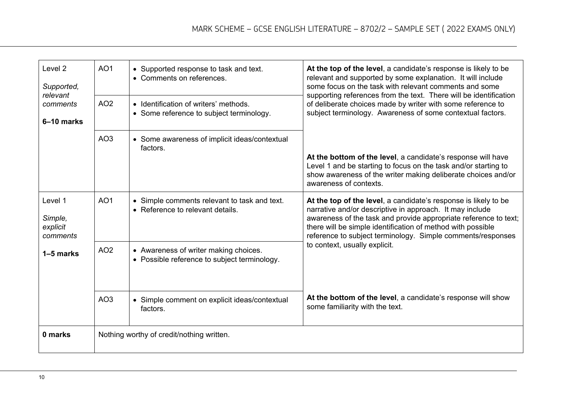| Level <sub>2</sub><br>Supported,<br>relevant<br>comments<br>6-10 marks | AO <sub>1</sub><br>AO <sub>2</sub> | • Supported response to task and text.<br>• Comments on references.<br>• Identification of writers' methods.<br>• Some reference to subject terminology. | At the top of the level, a candidate's response is likely to be<br>relevant and supported by some explanation. It will include<br>some focus on the task with relevant comments and some<br>supporting references from the text. There will be identification<br>of deliberate choices made by writer with some reference to<br>subject terminology. Awareness of some contextual factors. |
|------------------------------------------------------------------------|------------------------------------|----------------------------------------------------------------------------------------------------------------------------------------------------------|--------------------------------------------------------------------------------------------------------------------------------------------------------------------------------------------------------------------------------------------------------------------------------------------------------------------------------------------------------------------------------------------|
|                                                                        | AO <sub>3</sub>                    | • Some awareness of implicit ideas/contextual<br>factors.                                                                                                | At the bottom of the level, a candidate's response will have<br>Level 1 and be starting to focus on the task and/or starting to<br>show awareness of the writer making deliberate choices and/or<br>awareness of contexts.                                                                                                                                                                 |
| Level 1<br>Simple,<br>explicit<br>comments                             | AO <sub>1</sub>                    | • Simple comments relevant to task and text.<br>• Reference to relevant details.                                                                         | At the top of the level, a candidate's response is likely to be<br>narrative and/or descriptive in approach. It may include<br>awareness of the task and provide appropriate reference to text;<br>there will be simple identification of method with possible<br>reference to subject terminology. Simple comments/responses                                                              |
| 1–5 marks                                                              | AO <sub>2</sub>                    | • Awareness of writer making choices.<br>• Possible reference to subject terminology.                                                                    | to context, usually explicit.                                                                                                                                                                                                                                                                                                                                                              |
|                                                                        | AO <sub>3</sub>                    | • Simple comment on explicit ideas/contextual<br>factors.                                                                                                | At the bottom of the level, a candidate's response will show<br>some familiarity with the text.                                                                                                                                                                                                                                                                                            |
| 0 marks                                                                |                                    | Nothing worthy of credit/nothing written.                                                                                                                |                                                                                                                                                                                                                                                                                                                                                                                            |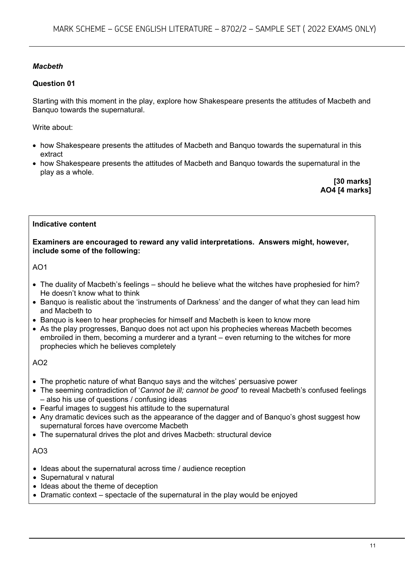#### *Macbeth*

#### **Question 01**

Starting with this moment in the play, explore how Shakespeare presents the attitudes of Macbeth and Banquo towards the supernatural.

Write about:

- how Shakespeare presents the attitudes of Macbeth and Banquo towards the supernatural in this extract
- how Shakespeare presents the attitudes of Macbeth and Banquo towards the supernatural in the play as a whole.

**[30 marks] AO4 [4 marks]**

#### **Indicative content**

**Examiners are encouraged to reward any valid interpretations. Answers might, however, include some of the following:**

#### AO1

- The duality of Macbeth's feelings should he believe what the witches have prophesied for him? He doesn't know what to think
- Banquo is realistic about the 'instruments of Darkness' and the danger of what they can lead him and Macbeth to
- Banquo is keen to hear prophecies for himself and Macbeth is keen to know more
- As the play progresses, Banquo does not act upon his prophecies whereas Macbeth becomes embroiled in them, becoming a murderer and a tyrant – even returning to the witches for more prophecies which he believes completely

#### $AO2$

- The prophetic nature of what Banquo says and the witches' persuasive power
- The seeming contradiction of '*Cannot be ill; cannot be good*' to reveal Macbeth's confused feelings – also his use of questions / confusing ideas
- Fearful images to suggest his attitude to the supernatural
- Any dramatic devices such as the appearance of the dagger and of Banquo's ghost suggest how supernatural forces have overcome Macbeth
- The supernatural drives the plot and drives Macbeth: structural device

- Ideas about the supernatural across time / audience reception
- Supernatural v natural
- Ideas about the theme of deception
- Dramatic context spectacle of the supernatural in the play would be enjoyed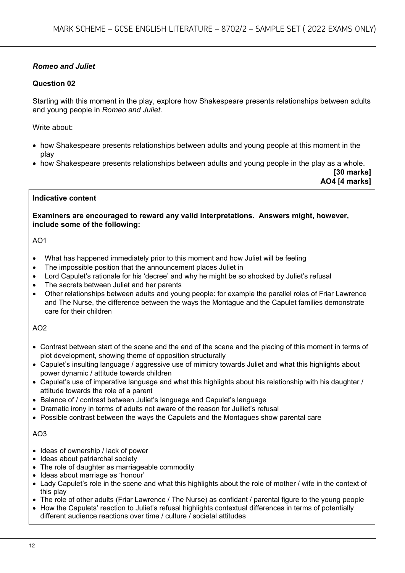#### *Romeo and Juliet*

#### **Question 02**

Starting with this moment in the play, explore how Shakespeare presents relationships between adults and young people in *Romeo and Juliet*.

Write about:

- how Shakespeare presents relationships between adults and young people at this moment in the play
- how Shakespeare presents relationships between adults and young people in the play as a whole.

**[30 marks] AO4 [4 marks]**

#### **Indicative content**

**Examiners are encouraged to reward any valid interpretations. Answers might, however, include some of the following:**

AO1

- What has happened immediately prior to this moment and how Juliet will be feeling
- The impossible position that the announcement places Juliet in
- Lord Capulet's rationale for his 'decree' and why he might be so shocked by Juliet's refusal
- The secrets between Juliet and her parents
- Other relationships between adults and young people: for example the parallel roles of Friar Lawrence and The Nurse, the difference between the ways the Montague and the Capulet families demonstrate care for their children

AO2

- Contrast between start of the scene and the end of the scene and the placing of this moment in terms of plot development, showing theme of opposition structurally
- Capulet's insulting language / aggressive use of mimicry towards Juliet and what this highlights about power dynamic / attitude towards children
- Capulet's use of imperative language and what this highlights about his relationship with his daughter / attitude towards the role of a parent
- Balance of / contrast between Juliet's language and Capulet's language
- Dramatic irony in terms of adults not aware of the reason for Juiliet's refusal
- Possible contrast between the ways the Capulets and the Montagues show parental care

- Ideas of ownership / lack of power
- Ideas about patriarchal society
- The role of daughter as marriageable commodity
- Ideas about marriage as 'honour'
- Lady Capulet's role in the scene and what this highlights about the role of mother / wife in the context of this play
- The role of other adults (Friar Lawrence / The Nurse) as confidant / parental figure to the young people
- How the Capulets' reaction to Juliet's refusal highlights contextual differences in terms of potentially different audience reactions over time / culture / societal attitudes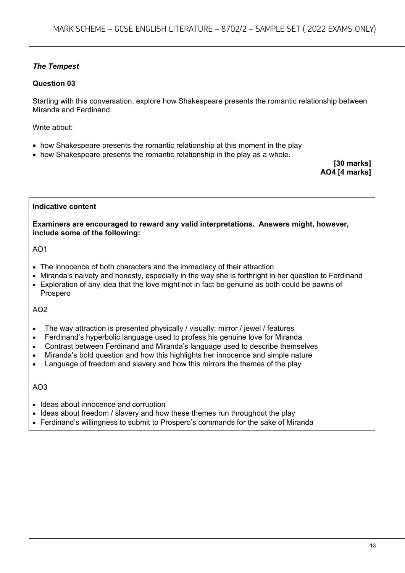#### *The Tempest*

#### **Question 03**

Starting with this conversation, explore how Shakespeare presents the romantic relationship between Miranda and Ferdinand.

Write about:

- how Shakespeare presents the romantic relationship at this moment in the play
- how Shakespeare presents the romantic relationship in the play as a whole.

**[30 marks] AO4 [4 marks]**

#### **Indicative content**

**Examiners are encouraged to reward any valid interpretations. Answers might, however, include some of the following:**

#### AO1

- The innocence of both characters and the immediacy of their attraction
- Miranda's naivety and honesty, especially in the way she is forthright in her question to Ferdinand
- Exploration of any idea that the love might not in fact be genuine as both could be pawns of Prospero

AO2

- The way attraction is presented physically / visually: mirror / jewel / features
- Ferdinand's hyperbolic language used to profess his genuine love for Miranda
- Contrast between Ferdinand and Miranda's language used to describe themselves
- Miranda's bold question and how this highlights her innocence and simple nature
- Language of freedom and slavery and how this mirrors the themes of the play

- Ideas about innocence and corruption
- Ideas about freedom / slavery and how these themes run throughout the play
- Ferdinand's willingness to submit to Prospero's commands for the sake of Miranda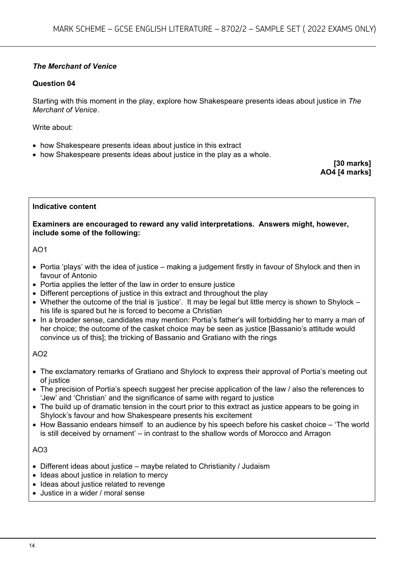#### *The Merchant of Venice*

#### **Question 04**

Starting with this moment in the play, explore how Shakespeare presents ideas about justice in *The Merchant of Venice*.

Write about:

- how Shakespeare presents ideas about justice in this extract
- how Shakespeare presents ideas about justice in the play as a whole.

**[30 marks] AO4 [4 marks]**

#### **Indicative content**

**Examiners are encouraged to reward any valid interpretations. Answers might, however, include some of the following:**

#### $AO1$

- Portia 'plays' with the idea of justice making a judgement firstly in favour of Shylock and then in favour of Antonio
- Portia applies the letter of the law in order to ensure justice
- Different perceptions of justice in this extract and throughout the play
- Whether the outcome of the trial is 'iustice'. It may be legal but little mercy is shown to Shylock his life is spared but he is forced to become a Christian
- In a broader sense, candidates may mention: Portia's father's will forbidding her to marry a man of her choice; the outcome of the casket choice may be seen as justice [Bassanio's attitude would convince us of this]; the tricking of Bassanio and Gratiano with the rings

#### AO2

- The exclamatory remarks of Gratiano and Shylock to express their approval of Portia's meeting out of justice
- The precision of Portia's speech suggest her precise application of the law / also the references to 'Jew' and 'Christian' and the significance of same with regard to justice
- The build up of dramatic tension in the court prior to this extract as justice appears to be going in Shylock's favour and how Shakespeare presents his excitement
- How Bassanio endears himself to an audience by his speech before his casket choice 'The world is still deceived by ornament' – in contrast to the shallow words of Morocco and Arragon

- Different ideas about justice maybe related to Christianity / Judaism
- Ideas about justice in relation to mercy
- Ideas about justice related to revenge
- Justice in a wider / moral sense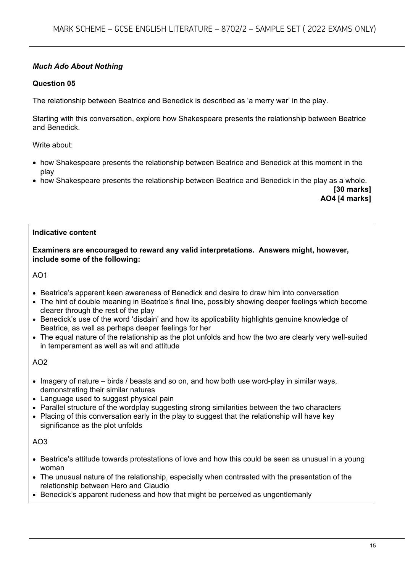#### *Much Ado About Nothing*

#### **Question 05**

The relationship between Beatrice and Benedick is described as 'a merry war' in the play.

Starting with this conversation, explore how Shakespeare presents the relationship between Beatrice and Benedick.

Write about:

- how Shakespeare presents the relationship between Beatrice and Benedick at this moment in the play
- how Shakespeare presents the relationship between Beatrice and Benedick in the play as a whole.

**[30 marks] AO4 [4 marks]**

#### **Indicative content**

**Examiners are encouraged to reward any valid interpretations. Answers might, however, include some of the following:**

AO1

- Beatrice's apparent keen awareness of Benedick and desire to draw him into conversation
- The hint of double meaning in Beatrice's final line, possibly showing deeper feelings which become clearer through the rest of the play
- Benedick's use of the word 'disdain' and how its applicability highlights genuine knowledge of Beatrice, as well as perhaps deeper feelings for her
- The equal nature of the relationship as the plot unfolds and how the two are clearly very well-suited in temperament as well as wit and attitude

 $AO2$ 

- Imagery of nature birds / beasts and so on, and how both use word-play in similar ways, demonstrating their similar natures
- Language used to suggest physical pain
- Parallel structure of the wordplay suggesting strong similarities between the two characters
- Placing of this conversation early in the play to suggest that the relationship will have key significance as the plot unfolds

- Beatrice's attitude towards protestations of love and how this could be seen as unusual in a young woman
- The unusual nature of the relationship, especially when contrasted with the presentation of the relationship between Hero and Claudio
- Benedick's apparent rudeness and how that might be perceived as ungentlemanly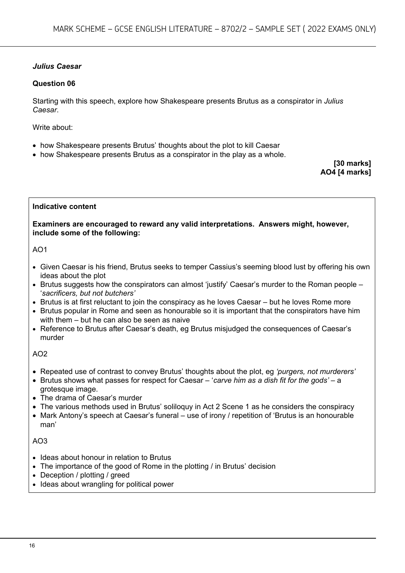#### *Julius Caesar*

#### **Question 06**

Starting with this speech, explore how Shakespeare presents Brutus as a conspirator in *Julius Caesar*.

Write about:

- how Shakespeare presents Brutus' thoughts about the plot to kill Caesar
- how Shakespeare presents Brutus as a conspirator in the play as a whole.

**[30 marks] AO4 [4 marks]**

#### **Indicative content**

**Examiners are encouraged to reward any valid interpretations. Answers might, however, include some of the following:**

#### $AO1$

- Given Caesar is his friend, Brutus seeks to temper Cassius's seeming blood lust by offering his own ideas about the plot
- Brutus suggests how the conspirators can almost 'justify' Caesar's murder to the Roman people '*sacrificers, but not butchers'*
- Brutus is at first reluctant to join the conspiracy as he loves Caesar but he loves Rome more
- Brutus popular in Rome and seen as honourable so it is important that the conspirators have him with them – but he can also be seen as naive
- Reference to Brutus after Caesar's death, eg Brutus misiudged the consequences of Caesar's murder

#### AO2

- Repeated use of contrast to convey Brutus' thoughts about the plot, eg *'purgers, not murderers'*
- Brutus shows what passes for respect for Caesar '*carve him as a dish fit for the gods' –* a grotesque image.
- The drama of Caesar's murder
- The various methods used in Brutus' soliloquy in Act 2 Scene 1 as he considers the conspiracy
- Mark Antony's speech at Caesar's funeral use of irony / repetition of 'Brutus is an honourable man'

- Ideas about honour in relation to Brutus
- The importance of the good of Rome in the plotting / in Brutus' decision
- Deception / plotting / greed
- Ideas about wrangling for political power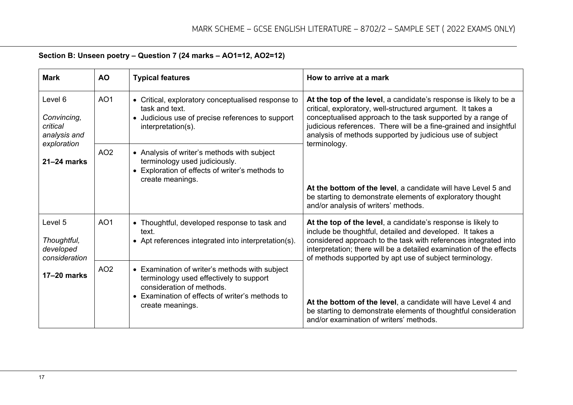| <b>Mark</b>                                                                          | <b>AO</b>       | <b>Typical features</b>                                                                                                                                                                       | How to arrive at a mark                                                                                                                                                                                                                                                                                                           |  |
|--------------------------------------------------------------------------------------|-----------------|-----------------------------------------------------------------------------------------------------------------------------------------------------------------------------------------------|-----------------------------------------------------------------------------------------------------------------------------------------------------------------------------------------------------------------------------------------------------------------------------------------------------------------------------------|--|
| Level 6<br>Convincing,<br>critical<br>analysis and<br>exploration<br>$21 - 24$ marks | AO <sub>1</sub> | • Critical, exploratory conceptualised response to<br>task and text.<br>• Judicious use of precise references to support<br>interpretation(s).                                                | At the top of the level, a candidate's response is likely to be a<br>critical, exploratory, well-structured argument. It takes a<br>conceptualised approach to the task supported by a range of<br>judicious references. There will be a fine-grained and insightful<br>analysis of methods supported by judicious use of subject |  |
|                                                                                      | AO <sub>2</sub> | • Analysis of writer's methods with subject<br>terminology used judiciously.<br>• Exploration of effects of writer's methods to<br>create meanings.                                           | terminology.<br>At the bottom of the level, a candidate will have Level 5 and<br>be starting to demonstrate elements of exploratory thought<br>and/or analysis of writers' methods.                                                                                                                                               |  |
| Level 5<br>Thoughtful,<br>developed<br>consideration                                 | AO <sub>1</sub> | • Thoughtful, developed response to task and<br>text.<br>• Apt references integrated into interpretation(s).                                                                                  | At the top of the level, a candidate's response is likely to<br>include be thoughtful, detailed and developed. It takes a<br>considered approach to the task with references integrated into<br>interpretation; there will be a detailed examination of the effects<br>of methods supported by apt use of subject terminology.    |  |
| $17-20$ marks                                                                        | AO <sub>2</sub> | • Examination of writer's methods with subject<br>terminology used effectively to support<br>consideration of methods.<br>• Examination of effects of writer's methods to<br>create meanings. | At the bottom of the level, a candidate will have Level 4 and<br>be starting to demonstrate elements of thoughtful consideration<br>and/or examination of writers' methods.                                                                                                                                                       |  |

### **Section B: Unseen poetry – Question 7 (24 marks – AO1=12, AO2=12)**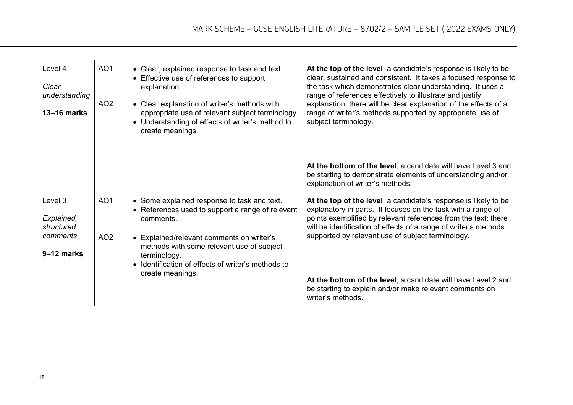| Level 4<br>Clear<br>understanding<br>$13 - 16$ marks | AO <sub>1</sub><br>AO <sub>2</sub> | • Clear, explained response to task and text.<br>• Effective use of references to support<br>explanation.<br>• Clear explanation of writer's methods with<br>appropriate use of relevant subject terminology.<br>• Understanding of effects of writer's method to<br>create meanings. | At the top of the level, a candidate's response is likely to be<br>clear, sustained and consistent. It takes a focused response to<br>the task which demonstrates clear understanding. It uses a<br>range of references effectively to illustrate and justify<br>explanation; there will be clear explanation of the effects of a<br>range of writer's methods supported by appropriate use of<br>subject terminology. |
|------------------------------------------------------|------------------------------------|---------------------------------------------------------------------------------------------------------------------------------------------------------------------------------------------------------------------------------------------------------------------------------------|------------------------------------------------------------------------------------------------------------------------------------------------------------------------------------------------------------------------------------------------------------------------------------------------------------------------------------------------------------------------------------------------------------------------|
|                                                      |                                    |                                                                                                                                                                                                                                                                                       | At the bottom of the level, a candidate will have Level 3 and<br>be starting to demonstrate elements of understanding and/or<br>explanation of writer's methods.                                                                                                                                                                                                                                                       |
| Level 3<br>Explained,<br>structured                  | AO <sub>1</sub>                    | • Some explained response to task and text.<br>• References used to support a range of relevant<br>comments.                                                                                                                                                                          | At the top of the level, a candidate's response is likely to be<br>explanatory in parts. It focuses on the task with a range of<br>points exemplified by relevant references from the text; there<br>will be identification of effects of a range of writer's methods                                                                                                                                                  |
| comments<br>9-12 marks                               | AO <sub>2</sub>                    | • Explained/relevant comments on writer's<br>methods with some relevant use of subject<br>terminology.<br>Identification of effects of writer's methods to<br>create meanings.                                                                                                        | supported by relevant use of subject terminology.<br>At the bottom of the level, a candidate will have Level 2 and<br>be starting to explain and/or make relevant comments on<br>writer's methods.                                                                                                                                                                                                                     |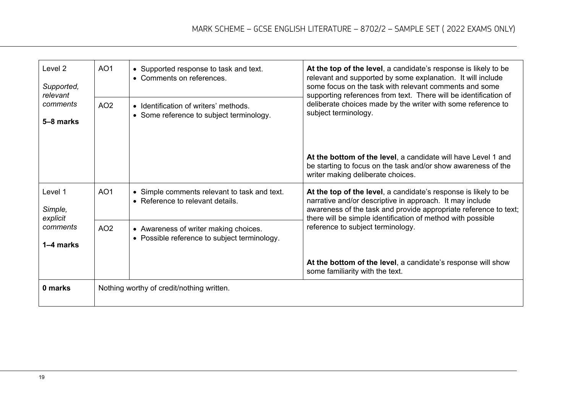| Level <sub>2</sub><br>Supported,<br>relevant<br>comments<br>5-8 marks | AO <sub>1</sub><br>AO <sub>2</sub> | • Supported response to task and text.<br>• Comments on references.<br>• Identification of writers' methods.<br>• Some reference to subject terminology. | At the top of the level, a candidate's response is likely to be<br>relevant and supported by some explanation. It will include<br>some focus on the task with relevant comments and some<br>supporting references from text. There will be identification of<br>deliberate choices made by the writer with some reference to<br>subject terminology. |
|-----------------------------------------------------------------------|------------------------------------|----------------------------------------------------------------------------------------------------------------------------------------------------------|------------------------------------------------------------------------------------------------------------------------------------------------------------------------------------------------------------------------------------------------------------------------------------------------------------------------------------------------------|
|                                                                       |                                    |                                                                                                                                                          | At the bottom of the level, a candidate will have Level 1 and<br>be starting to focus on the task and/or show awareness of the<br>writer making deliberate choices.                                                                                                                                                                                  |
| Level 1<br>Simple,<br>explicit<br>comments<br>1–4 marks               | AO <sub>1</sub>                    | • Simple comments relevant to task and text.<br>• Reference to relevant details.                                                                         | At the top of the level, a candidate's response is likely to be<br>narrative and/or descriptive in approach. It may include<br>awareness of the task and provide appropriate reference to text;<br>there will be simple identification of method with possible                                                                                       |
|                                                                       | AO <sub>2</sub>                    | • Awareness of writer making choices.<br>• Possible reference to subject terminology.                                                                    | reference to subject terminology.                                                                                                                                                                                                                                                                                                                    |
|                                                                       |                                    |                                                                                                                                                          | At the bottom of the level, a candidate's response will show<br>some familiarity with the text.                                                                                                                                                                                                                                                      |
| 0 marks                                                               |                                    | Nothing worthy of credit/nothing written.                                                                                                                |                                                                                                                                                                                                                                                                                                                                                      |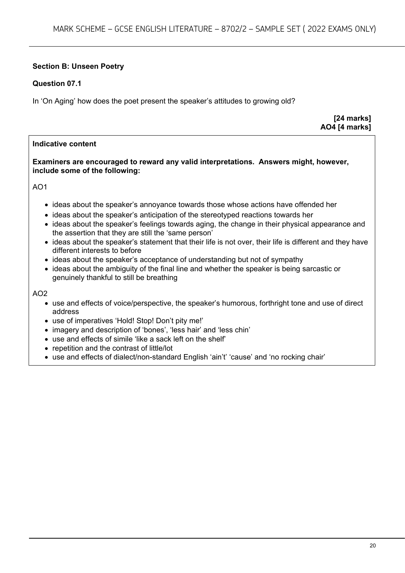#### **Section B: Unseen Poetry**

#### **Question 07.1**

In 'On Aging' how does the poet present the speaker's attitudes to growing old?

**[24 marks] AO4 [4 marks]**

#### **Indicative content**

#### **Examiners are encouraged to reward any valid interpretations. Answers might, however, include some of the following:**

AO1

- ideas about the speaker's annoyance towards those whose actions have offended her
- ideas about the speaker's anticipation of the stereotyped reactions towards her
- ideas about the speaker's feelings towards aging, the change in their physical appearance and the assertion that they are still the 'same person'
- ideas about the speaker's statement that their life is not over, their life is different and they have different interests to before
- ideas about the speaker's acceptance of understanding but not of sympathy
- ideas about the ambiguity of the final line and whether the speaker is being sarcastic or genuinely thankful to still be breathing

- use and effects of voice/perspective, the speaker's humorous, forthright tone and use of direct address
- use of imperatives 'Hold! Stop! Don't pity me!'
- imagery and description of 'bones', 'less hair' and 'less chin'
- use and effects of simile 'like a sack left on the shelf'
- repetition and the contrast of little/lot
- use and effects of dialect/non-standard English 'ain't' 'cause' and 'no rocking chair'